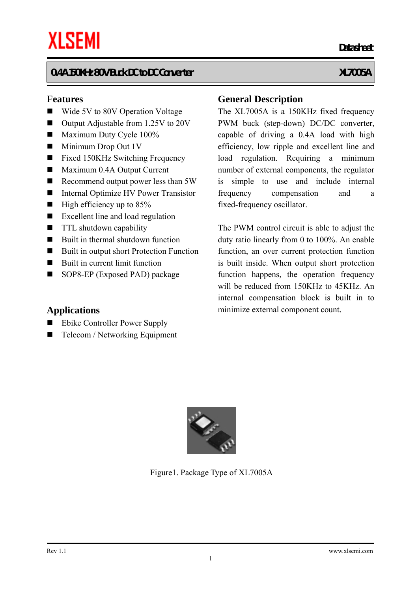#### **Features**

- Wide 5V to 80V Operation Voltage
- Output Adjustable from 1.25V to 20V
- $\blacksquare$  Maximum Duty Cycle 100%
- $\blacksquare$  Minimum Drop Out 1V
- Fixed 150KHz Switching Frequency
- Maximum 0.4A Output Current
- Recommend output power less than 5W
- Internal Optimize HV Power Transistor
- $\blacksquare$  High efficiency up to 85%
- Excellent line and load regulation
- **TTL** shutdown capability
- Built in thermal shutdown function
- Built in output short Protection Function
- Built in current limit function
- SOP8-EP (Exposed PAD) package

#### **Applications**

- Ebike Controller Power Supply
- $\blacksquare$  Telecom / Networking Equipment

#### **General Description**

*Datasheet* **Datasheet** 

The XL7005A is a 150KHz fixed frequency PWM buck (step-down) DC/DC converter, capable of driving a 0.4A load with high efficiency, low ripple and excellent line and load regulation. Requiring a minimum number of external components, the regulator is simple to use and include internal frequency compensation and a fixed-frequency oscillator.

The PWM control circuit is able to adjust the duty ratio linearly from 0 to 100%. An enable function, an over current protection function is built inside. When output short protection function happens, the operation frequency will be reduced from 150KHz to 45KHz. An internal compensation block is built in to minimize external component count.



Figure1. Package Type of XL7005A

1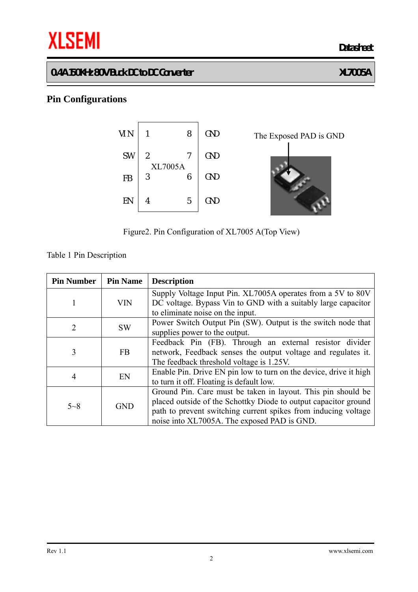# **THE SEMI** Datasheet

#### **0.4A 150KHz 80V Buck DC to DC Converter XL7005A**

# **Pin Configurations**



The Exposed PAD is GND

Figure2. Pin Configuration of XL7005 A(Top View)

Table 1 Pin Description

| <b>Pin Number</b> | <b>Pin Name</b> | <b>Description</b>                                                                                                           |
|-------------------|-----------------|------------------------------------------------------------------------------------------------------------------------------|
| 1                 | <b>VIN</b>      | Supply Voltage Input Pin. XL7005A operates from a 5V to 80V<br>DC voltage. Bypass Vin to GND with a suitably large capacitor |
|                   |                 | to eliminate noise on the input.                                                                                             |
| $\overline{2}$    | <b>SW</b>       | Power Switch Output Pin (SW). Output is the switch node that                                                                 |
|                   |                 | supplies power to the output.                                                                                                |
|                   | <b>FB</b>       | Feedback Pin (FB). Through an external resistor divider                                                                      |
| 3                 |                 | network, Feedback senses the output voltage and regulates it.                                                                |
|                   |                 | The feedback threshold voltage is 1.25V.                                                                                     |
| 4                 | EN              | Enable Pin. Drive EN pin low to turn on the device, drive it high                                                            |
|                   |                 | to turn it off. Floating is default low.                                                                                     |
| $5 - 8$           | <b>GND</b>      | Ground Pin. Care must be taken in layout. This pin should be                                                                 |
|                   |                 | placed outside of the Schottky Diode to output capacitor ground                                                              |
|                   |                 | path to prevent switching current spikes from inducing voltage                                                               |
|                   |                 | noise into XL7005A. The exposed PAD is GND.                                                                                  |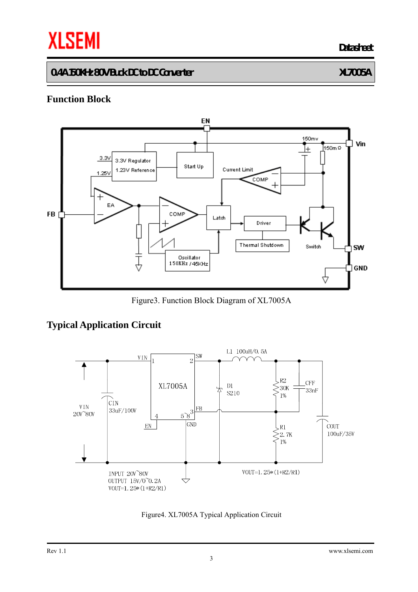# **THE SEMI** Datasheet

#### **0.4A 150KHz 80V Buck DC to DC Converter XL7005A**

#### **Function Block**



Figure3. Function Block Diagram of XL7005A

### **Typical Application Circuit**



Figure4. XL7005A Typical Application Circuit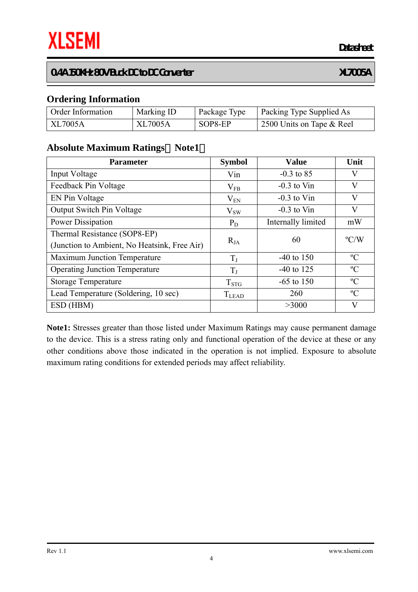**Datasheet**

#### **0.4A 150KHz 80V Buck DC to DC Converter XL7005A**

#### **Ordering Information**

| <b>Order Information</b> | Marking ID     | Package Type | Packing Type Supplied As  |
|--------------------------|----------------|--------------|---------------------------|
| XL7005A                  | <b>XL7005A</b> | SOP8-EP      | 2500 Units on Tape & Reel |

#### **Absolute Maximum Ratings**(**Note1**)

| <b>Parameter</b>                                                             | <b>Symbol</b> | <b>Value</b>       | Unit          |
|------------------------------------------------------------------------------|---------------|--------------------|---------------|
| Input Voltage                                                                | Vin           | $-0.3$ to 85       | V             |
| Feedback Pin Voltage                                                         | $\rm V_{FB}$  | $-0.3$ to Vin      | V             |
| EN Pin Voltage                                                               | $V_{EN}$      | $-0.3$ to Vin      | V             |
| <b>Output Switch Pin Voltage</b>                                             | $V_{SW}$      | $-0.3$ to Vin      | V             |
| Power Dissipation                                                            | $P_D$         | Internally limited | mW            |
| Thermal Resistance (SOP8-EP)<br>(Junction to Ambient, No Heatsink, Free Air) | $R_{JA}$      | 60                 | $\rm ^{o}C/W$ |
| <b>Maximum Junction Temperature</b>                                          | $T_I$         | $-40$ to 150       | $\rm ^{o}C$   |
| <b>Operating Junction Temperature</b>                                        | $T_{J}$       | $-40$ to 125       | $\rm ^{o}C$   |
| <b>Storage Temperature</b>                                                   | $T_{STG}$     | $-65$ to 150       | $\rm ^{o}C$   |
| Lead Temperature (Soldering, 10 sec)                                         | <b>T</b> LEAD | 260                | $\rm ^{o}C$   |
| ESD (HBM)                                                                    |               | >3000              | V             |

**Note1:** Stresses greater than those listed under Maximum Ratings may cause permanent damage to the device. This is a stress rating only and functional operation of the device at these or any other conditions above those indicated in the operation is not implied. Exposure to absolute maximum rating conditions for extended periods may affect reliability.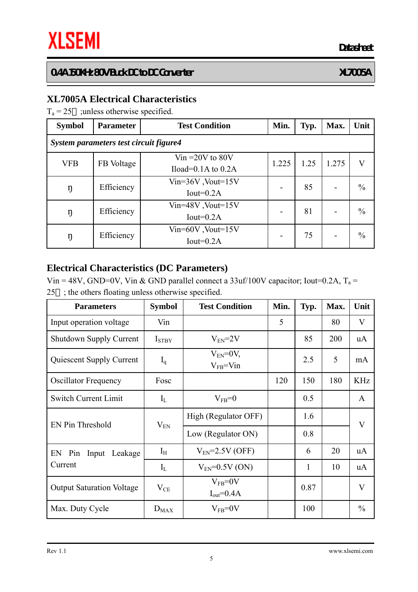#### **XL7005A Electrical Characteristics**

 $T_a = 25$  ; unless otherwise specified.

| <b>Symbol</b>                          | <b>Parameter</b> | <b>Test Condition</b>                          | Min.  | Typ. | Max.  | Unit          |  |
|----------------------------------------|------------------|------------------------------------------------|-------|------|-------|---------------|--|
| System parameters test circuit figure4 |                  |                                                |       |      |       |               |  |
| <b>VFB</b>                             | FB Voltage       | Vin $=20V$ to $80V$<br>Iload= $0.1A$ to $0.2A$ | 1.225 | 1.25 | 1.275 | V             |  |
| ŋ                                      | Efficiency       | $Vin=36V$ , $Vout=15V$<br>Iout= $0.2A$         |       | 85   |       | $\frac{0}{0}$ |  |
| ŋ                                      | Efficiency       | $Vin=48V$ , Vout= $15V$<br>Iout= $0.2A$        |       | 81   |       | $\frac{0}{0}$ |  |
| ŋ                                      | Efficiency       | $Vin=60V$ , Vout= $15V$<br>Iout= $0.2A$        |       | 75   |       | $\frac{0}{0}$ |  |

#### **Electrical Characteristics (DC Parameters)**

Vin = 48V, GND=0V, Vin & GND parallel connect a 33uf/100V capacitor; Iout=0.2A,  $T_a$  = 25 ; the others floating unless otherwise specified.

| <b>Parameters</b>                | <b>Symbol</b>     | <b>Test Condition</b>              | Min. | Typ. | Max. | Unit          |
|----------------------------------|-------------------|------------------------------------|------|------|------|---------------|
| Input operation voltage          | Vin               |                                    | 5    |      | 80   | V             |
| <b>Shutdown Supply Current</b>   | I <sub>STBY</sub> | $V_{EN} = 2V$                      |      | 85   | 200  | <b>uA</b>     |
| Quiescent Supply Current         | $I_q$             | $V_{EN}=0V$ ,<br>$V_{FB} = V_{1n}$ |      | 2.5  | 5    | mA            |
| <b>Oscillator Frequency</b>      | Fosc              |                                    | 120  | 150  | 180  | <b>KHz</b>    |
| <b>Switch Current Limit</b>      | $I_L$             | $V_{FB}=0$                         |      | 0.5  |      | $\mathbf{A}$  |
| EN Pin Threshold                 | $V_{EN}$          | High (Regulator OFF)               |      | 1.6  |      | $\bf V$       |
|                                  |                   | Low (Regulator ON)                 |      | 0.8  |      |               |
| EN Pin Input Leakage             | $I_{H}$           | $V_{EN}$ =2.5V (OFF)               |      | 6    | 20   | <b>uA</b>     |
| Current                          | $I_{L}$           | $V_{EN} = 0.5V (ON)$               |      | 1    | 10   | uA            |
| <b>Output Saturation Voltage</b> | $V_{CE}$          | $V_{FB} = 0V$<br>$I_{out} = 0.4A$  |      | 0.87 |      | $\mathbf V$   |
| Max. Duty Cycle                  | $D_{MAX}$         | $V_{FB} = 0V$                      |      | 100  |      | $\frac{0}{0}$ |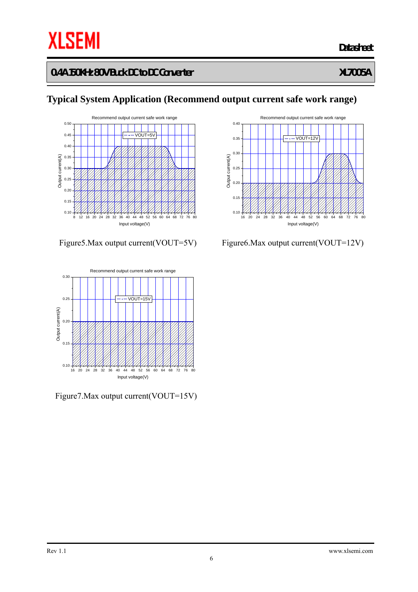20 24 28 32 36 40 44 48 52 56 60 64 68 72 0.10  $0.15$ 0.20 0.25 0.30 0.35 0.40  $0.45$ 0.50 Recommend output current safe work range Output current(A) Input voltage(V) VOUT=5V



Figure7.Max output current(VOUT=15V)



#### Figure5.Max output current(VOUT=5V) Figure6.Max output current(VOUT=12V)

# **Typical System Application (Recommend output current safe work range)**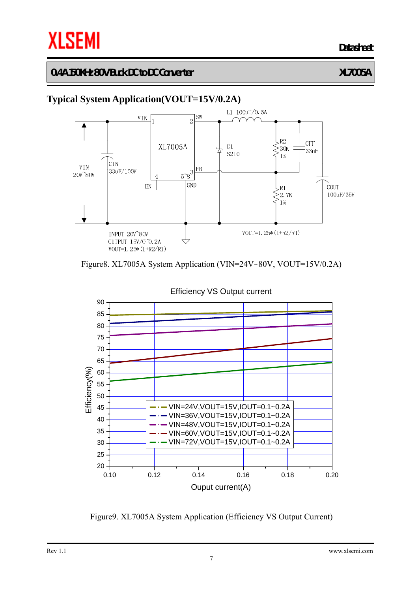**Datasheet**

#### **0.4A 150KHz 80V Buck DC to DC Converter XL7005A**

## **Typical System Application(VOUT=15V/0.2A)**







Efficiency VS Output current

Figure9. XL7005A System Application (Efficiency VS Output Current)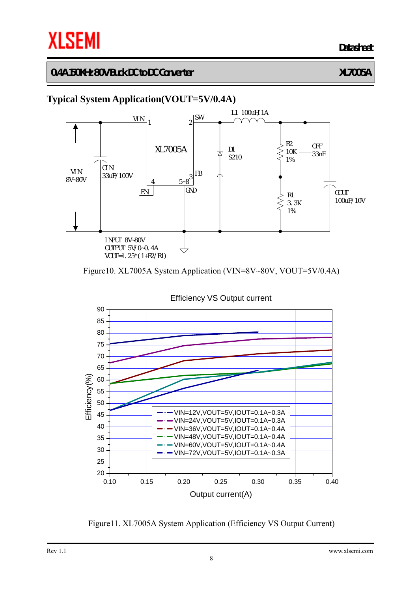**Datasheet**

#### **0.4A 150KHz 80V Buck DC to DC Converter XL7005A**

## **Typical System Application(VOUT=5V/0.4A)**



Figure10. XL7005A System Application (VIN=8V~80V, VOUT=5V/0.4A)



Figure11. XL7005A System Application (Efficiency VS Output Current)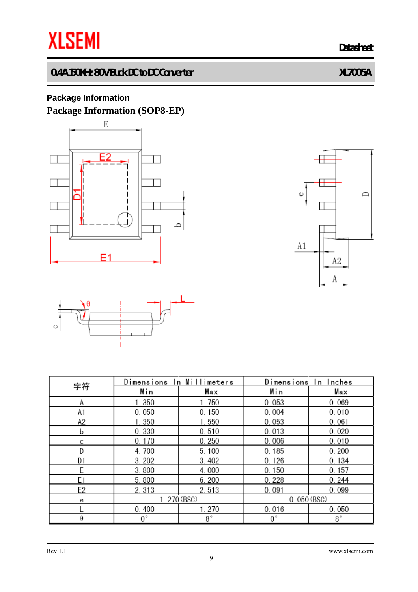**THE SEMI** Datasheet

# **0.4A 150KHz 80V Buck DC to DC Converter XL7005A**

## **Package Information Package Information (SOP8-EP)**







| 字符             | Dimensions In Millimeters |           | Dimensions In Inches |             |  |
|----------------|---------------------------|-----------|----------------------|-------------|--|
|                | Min                       | Max       | Min                  | Max         |  |
| Α              | 1.350                     | 1.750     | 0.053                | 0.069       |  |
| A1             | 0.050                     | 0.150     | 0.004                | 0.010       |  |
| A2             | 1.350                     | 1.550     | 0.053                | 0.061       |  |
| b              | 0.330                     | 0.510     | 0.013                | 0.020       |  |
| C              | 0.170                     | 0.250     | 0.006                | 0.010       |  |
| D              | 4.700                     | 5.100     | 0.185                | 0.200       |  |
| D1             | 3.202                     | 3.402     | 0.126                | 0.134       |  |
| E              | 3.800                     | 4.000     | 0.150                | 0.157       |  |
| E <sub>1</sub> | 5.800                     | 6.200     | 0.228                | 0.244       |  |
| E <sub>2</sub> | 2.313                     | 2.513     | 0.091                | 0.099       |  |
| е              | 1.270 (BSC)               |           | 0.050(BSC)           |             |  |
|                | 0.400                     | 1.270     | 0.016                | 0.050       |  |
| θ              | $0^{\circ}$               | $8^\circ$ | $0^{\circ}$          | $8^{\circ}$ |  |

#### Rev 1.1 www.xlsemi.com